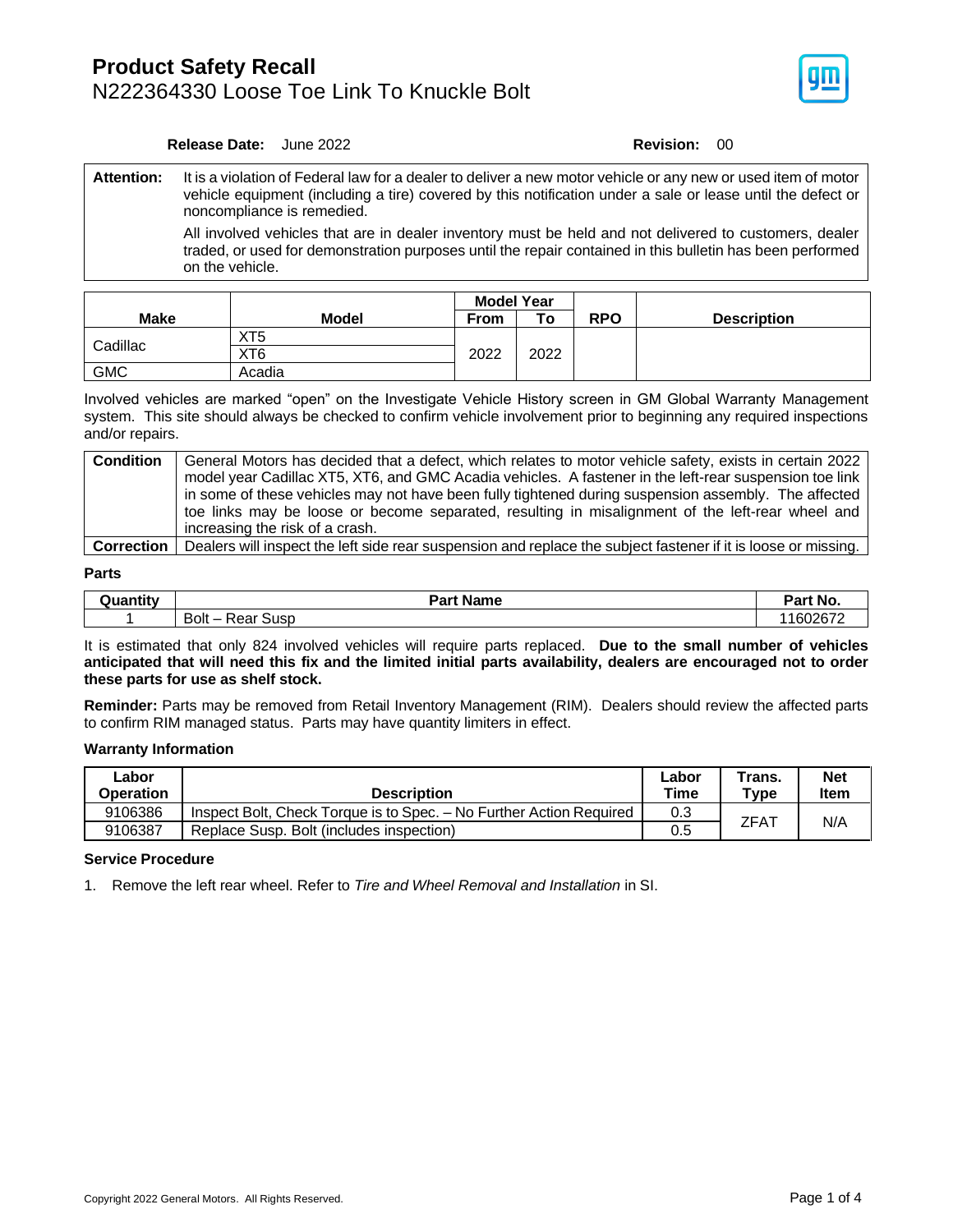### **Product Safety Recall** N222364330 Loose Toe Link To Knuckle Bolt



### **Release Date:** June 2022 **Revision:** 00

**Attention:** It is a violation of Federal law for a dealer to deliver a new motor vehicle or any new or used item of motor vehicle equipment (including a tire) covered by this notification under a sale or lease until the defect or noncompliance is remedied.

All involved vehicles that are in dealer inventory must be held and not delivered to customers, dealer traded, or used for demonstration purposes until the repair contained in this bulletin has been performed on the vehicle.

|             |                 | <b>Model Year</b> |      |            |                    |  |  |
|-------------|-----------------|-------------------|------|------------|--------------------|--|--|
| <b>Make</b> | Model           | <b>From</b>       | To   | <b>RPO</b> | <b>Description</b> |  |  |
| Cadillac    | XT <sub>5</sub> |                   |      |            |                    |  |  |
|             | XT6             | 2022              | 2022 |            |                    |  |  |
| <b>GMC</b>  | Acadia          |                   |      |            |                    |  |  |

Involved vehicles are marked "open" on the Investigate Vehicle History screen in GM Global Warranty Management system. This site should always be checked to confirm vehicle involvement prior to beginning any required inspections and/or repairs.

| <b>Condition</b>  | General Motors has decided that a defect, which relates to motor vehicle safety, exists in certain 2022        |
|-------------------|----------------------------------------------------------------------------------------------------------------|
|                   | model year Cadillac XT5, XT6, and GMC Acadia vehicles. A fastener in the left-rear suspension toe link         |
|                   | in some of these vehicles may not have been fully tightened during suspension assembly. The affected           |
|                   | toe links may be loose or become separated, resulting in misalignment of the left-rear wheel and               |
|                   | increasing the risk of a crash.                                                                                |
| <b>Correction</b> | Dealers will inspect the left side rear suspension and replace the subject fastener if it is loose or missing. |

### **Parts**

| .        | <b>Part Name</b>               |                      |
|----------|--------------------------------|----------------------|
| ≀uantity | -ar                            |                      |
|          | Bolt-<br>コハハド<br>∵Susp<br>πear | .160267 <sup>2</sup> |

It is estimated that only 824 involved vehicles will require parts replaced. **Due to the small number of vehicles anticipated that will need this fix and the limited initial parts availability, dealers are encouraged not to order these parts for use as shelf stock.**

**Reminder:** Parts may be removed from Retail Inventory Management (RIM). Dealers should review the affected parts to confirm RIM managed status. Parts may have quantity limiters in effect.

### **Warranty Information**

| ∟abor<br>Operation | <b>Description</b>                                                  | ∟abor<br>Time | Trans.<br>$T$ ype | <b>Net</b><br>Item |
|--------------------|---------------------------------------------------------------------|---------------|-------------------|--------------------|
| 9106386            | Inspect Bolt, Check Torque is to Spec. - No Further Action Required | 0.3           | ZFA1              | N/A                |
| 9106387            | Replace Susp. Bolt (includes inspection)                            | 0.5           |                   |                    |

### **Service Procedure**

1. Remove the left rear wheel. Refer to *Tire and Wheel Removal and Installation* in SI.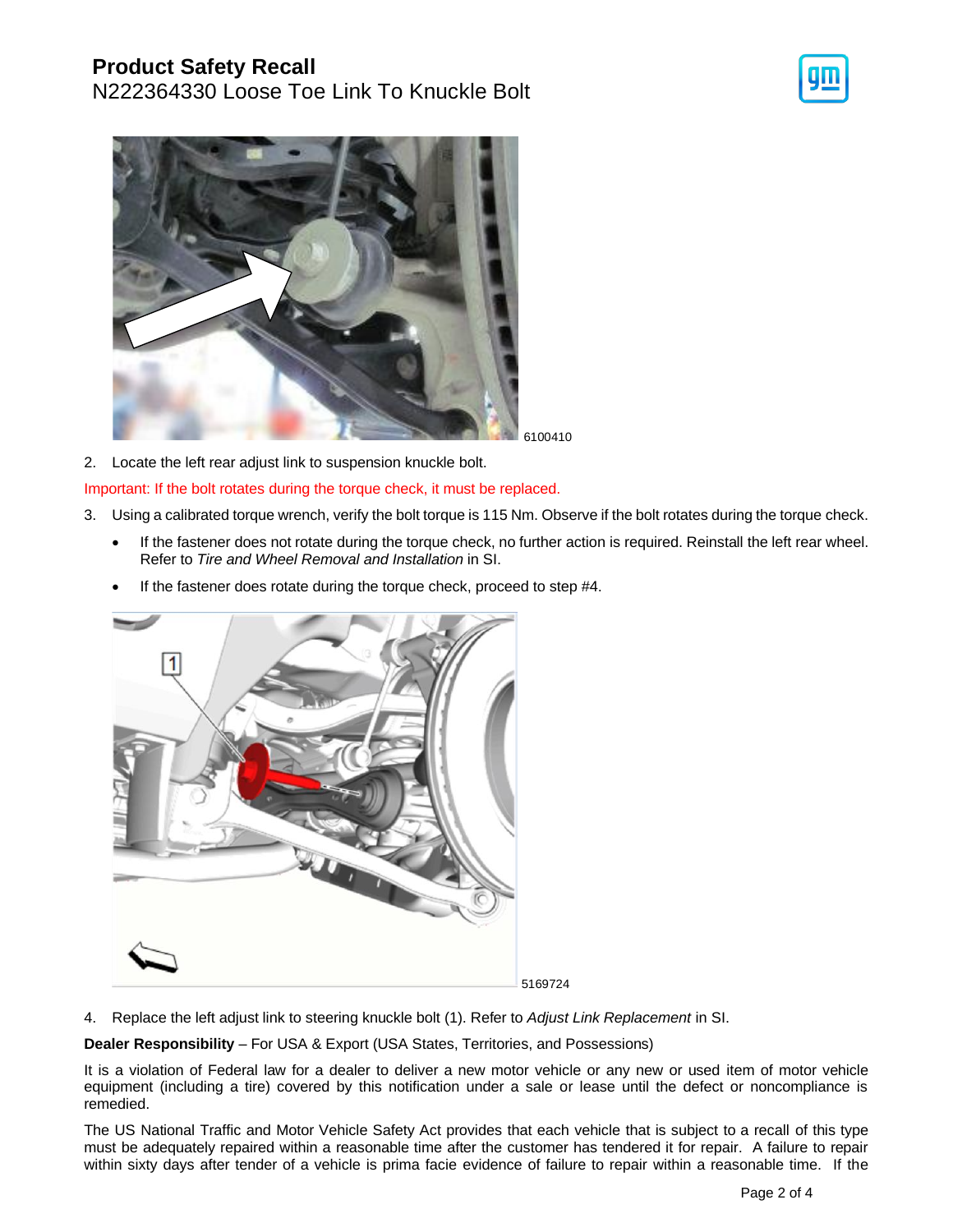## **Product Safety Recall**

N222364330 Loose Toe Link To Knuckle Bolt





6100410

2. Locate the left rear adjust link to suspension knuckle bolt.

Important: If the bolt rotates during the torque check, it must be replaced.

- 3. Using a calibrated torque wrench, verify the bolt torque is 115 Nm. Observe if the bolt rotates during the torque check.
	- If the fastener does not rotate during the torque check, no further action is required. Reinstall the left rear wheel. Refer to *Tire and Wheel Removal and Installation* in SI.
	- If the fastener does rotate during the torque check, proceed to step #4.



4. Replace the left adjust link to steering knuckle bolt (1). Refer to *Adjust Link Replacement* in SI.

**Dealer Responsibility** – For USA & Export (USA States, Territories, and Possessions)

It is a violation of Federal law for a dealer to deliver a new motor vehicle or any new or used item of motor vehicle equipment (including a tire) covered by this notification under a sale or lease until the defect or noncompliance is remedied.

The US National Traffic and Motor Vehicle Safety Act provides that each vehicle that is subject to a recall of this type must be adequately repaired within a reasonable time after the customer has tendered it for repair. A failure to repair within sixty days after tender of a vehicle is prima facie evidence of failure to repair within a reasonable time. If the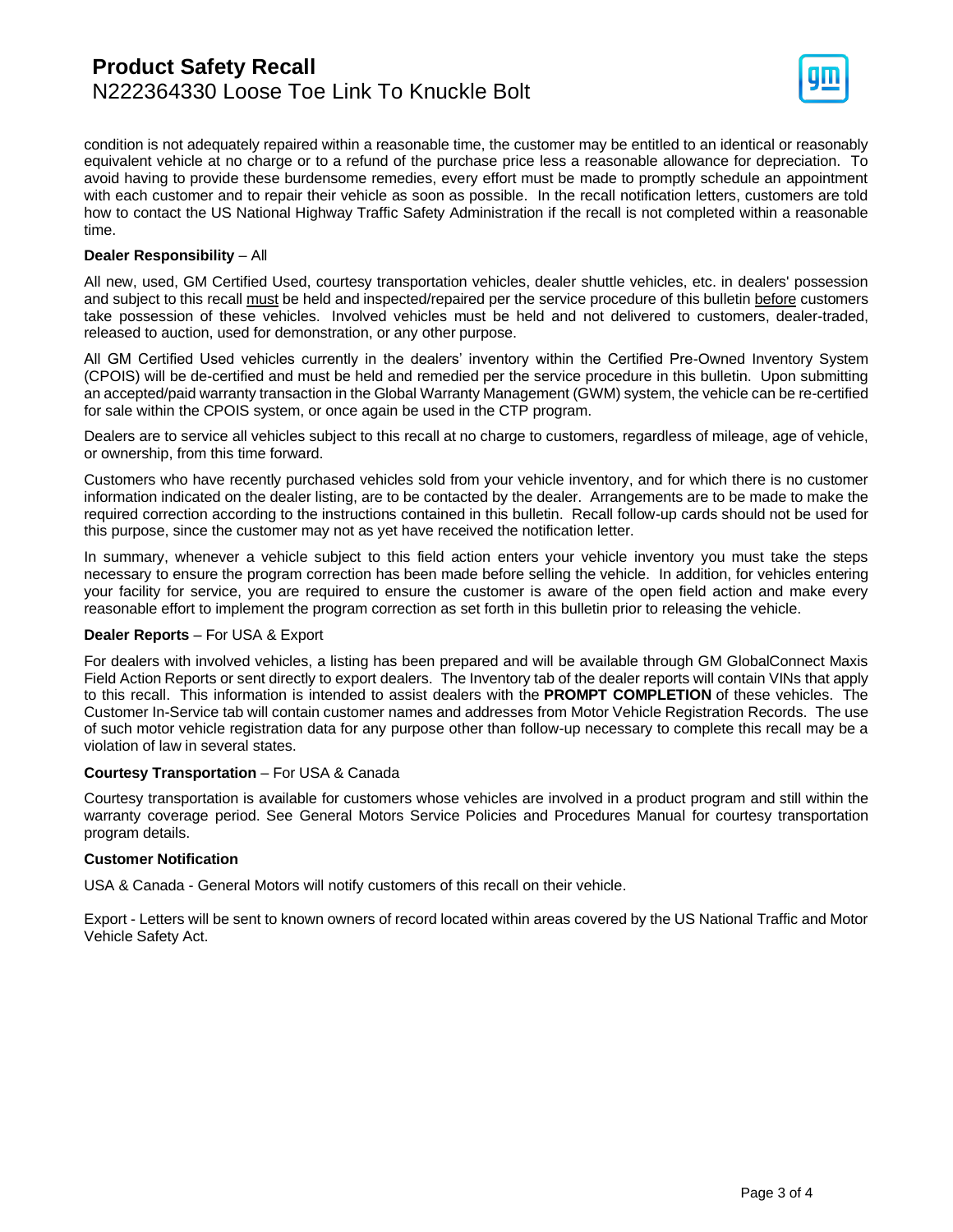

condition is not adequately repaired within a reasonable time, the customer may be entitled to an identical or reasonably equivalent vehicle at no charge or to a refund of the purchase price less a reasonable allowance for depreciation. To avoid having to provide these burdensome remedies, every effort must be made to promptly schedule an appointment with each customer and to repair their vehicle as soon as possible. In the recall notification letters, customers are told how to contact the US National Highway Traffic Safety Administration if the recall is not completed within a reasonable time.

### **Dealer Responsibility** – All

All new, used, GM Certified Used, courtesy transportation vehicles, dealer shuttle vehicles, etc. in dealers' possession and subject to this recall must be held and inspected/repaired per the service procedure of this bulletin before customers take possession of these vehicles. Involved vehicles must be held and not delivered to customers, dealer-traded, released to auction, used for demonstration, or any other purpose.

All GM Certified Used vehicles currently in the dealers' inventory within the Certified Pre-Owned Inventory System (CPOIS) will be de-certified and must be held and remedied per the service procedure in this bulletin. Upon submitting an accepted/paid warranty transaction in the Global Warranty Management (GWM) system, the vehicle can be re-certified for sale within the CPOIS system, or once again be used in the CTP program.

Dealers are to service all vehicles subject to this recall at no charge to customers, regardless of mileage, age of vehicle, or ownership, from this time forward.

Customers who have recently purchased vehicles sold from your vehicle inventory, and for which there is no customer information indicated on the dealer listing, are to be contacted by the dealer. Arrangements are to be made to make the required correction according to the instructions contained in this bulletin. Recall follow-up cards should not be used for this purpose, since the customer may not as yet have received the notification letter.

In summary, whenever a vehicle subject to this field action enters your vehicle inventory you must take the steps necessary to ensure the program correction has been made before selling the vehicle. In addition, for vehicles entering your facility for service, you are required to ensure the customer is aware of the open field action and make every reasonable effort to implement the program correction as set forth in this bulletin prior to releasing the vehicle.

### **Dealer Reports** – For USA & Export

For dealers with involved vehicles, a listing has been prepared and will be available through GM GlobalConnect Maxis Field Action Reports or sent directly to export dealers. The Inventory tab of the dealer reports will contain VINs that apply to this recall. This information is intended to assist dealers with the **PROMPT COMPLETION** of these vehicles. The Customer In-Service tab will contain customer names and addresses from Motor Vehicle Registration Records. The use of such motor vehicle registration data for any purpose other than follow-up necessary to complete this recall may be a violation of law in several states.

### **Courtesy Transportation** – For USA & Canada

Courtesy transportation is available for customers whose vehicles are involved in a product program and still within the warranty coverage period. See General Motors Service Policies and Procedures Manual for courtesy transportation program details.

### **Customer Notification**

USA & Canada - General Motors will notify customers of this recall on their vehicle.

Export - Letters will be sent to known owners of record located within areas covered by the US National Traffic and Motor Vehicle Safety Act.